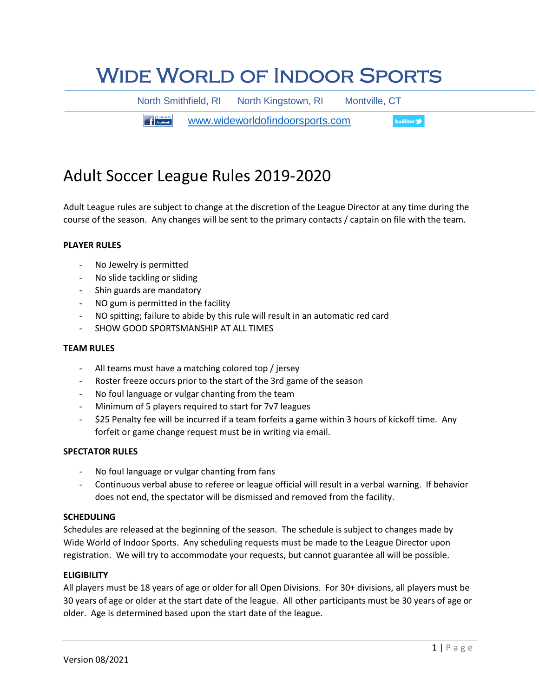# Wide World of Indoor Sports

North Smithfield, RI North Kingstown, RI Montville, CT

**The Figure 11 Facebook.** [www.wideworldofindoorsports.com](http://www.wideworldofindoorsports.com/) **Ewitter** 

# Adult Soccer League Rules 2019-2020

Adult League rules are subject to change at the discretion of the League Director at any time during the course of the season. Any changes will be sent to the primary contacts / captain on file with the team.

# **PLAYER RULES**

- No Jewelry is permitted
- No slide tackling or sliding
- Shin guards are mandatory
- NO gum is permitted in the facility
- NO spitting; failure to abide by this rule will result in an automatic red card
- SHOW GOOD SPORTSMANSHIP AT ALL TIMES

# **TEAM RULES**

- All teams must have a matching colored top / jersey
- Roster freeze occurs prior to the start of the 3rd game of the season
- No foul language or vulgar chanting from the team
- Minimum of 5 players required to start for 7v7 leagues
- \$25 Penalty fee will be incurred if a team forfeits a game within 3 hours of kickoff time. Any forfeit or game change request must be in writing via email.

# **SPECTATOR RULES**

- No foul language or vulgar chanting from fans
- Continuous verbal abuse to referee or league official will result in a verbal warning. If behavior does not end, the spectator will be dismissed and removed from the facility.

#### **SCHEDULING**

Schedules are released at the beginning of the season. The schedule is subject to changes made by Wide World of Indoor Sports. Any scheduling requests must be made to the League Director upon registration. We will try to accommodate your requests, but cannot guarantee all will be possible.

#### **ELIGIBILITY**

All players must be 18 years of age or older for all Open Divisions. For 30+ divisions, all players must be 30 years of age or older at the start date of the league. All other participants must be 30 years of age or older. Age is determined based upon the start date of the league.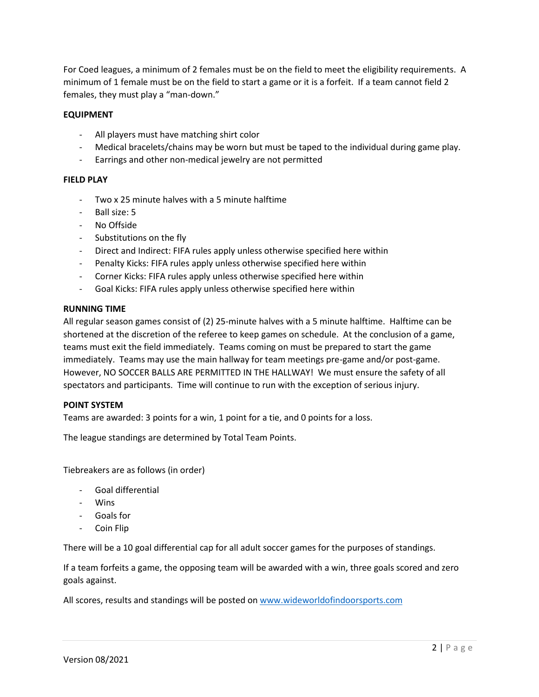For Coed leagues, a minimum of 2 females must be on the field to meet the eligibility requirements. A minimum of 1 female must be on the field to start a game or it is a forfeit. If a team cannot field 2 females, they must play a "man-down."

# **EQUIPMENT**

- All players must have matching shirt color
- Medical bracelets/chains may be worn but must be taped to the individual during game play.
- Earrings and other non-medical jewelry are not permitted

# **FIELD PLAY**

- Two x 25 minute halves with a 5 minute halftime
- Ball size: 5
- No Offside
- Substitutions on the fly
- Direct and Indirect: FIFA rules apply unless otherwise specified here within
- Penalty Kicks: FIFA rules apply unless otherwise specified here within
- Corner Kicks: FIFA rules apply unless otherwise specified here within
- Goal Kicks: FIFA rules apply unless otherwise specified here within

#### **RUNNING TIME**

All regular season games consist of (2) 25-minute halves with a 5 minute halftime. Halftime can be shortened at the discretion of the referee to keep games on schedule. At the conclusion of a game, teams must exit the field immediately. Teams coming on must be prepared to start the game immediately. Teams may use the main hallway for team meetings pre-game and/or post-game. However, NO SOCCER BALLS ARE PERMITTED IN THE HALLWAY! We must ensure the safety of all spectators and participants. Time will continue to run with the exception of serious injury.

# **POINT SYSTEM**

Teams are awarded: 3 points for a win, 1 point for a tie, and 0 points for a loss.

The league standings are determined by Total Team Points.

Tiebreakers are as follows (in order)

- Goal differential
- Wins
- Goals for
- Coin Flip

There will be a 10 goal differential cap for all adult soccer games for the purposes of standings.

If a team forfeits a game, the opposing team will be awarded with a win, three goals scored and zero goals against.

All scores, results and standings will be posted on [www.wideworldofindoorsports.com](http://www.wideworldofindoorsports.com/)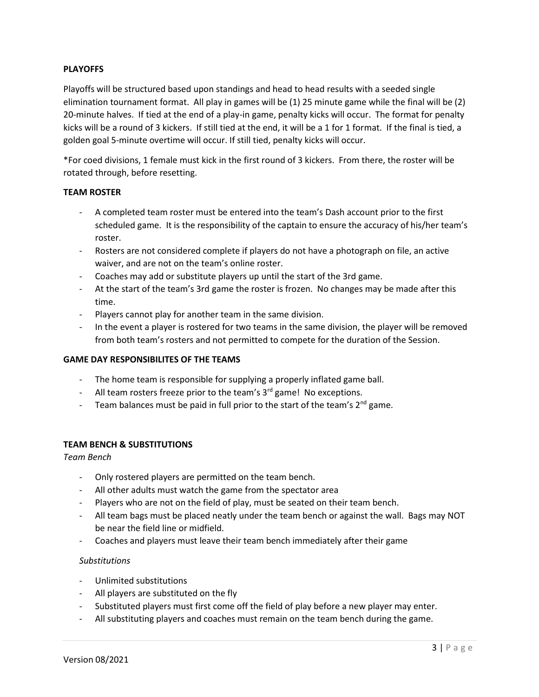# **PLAYOFFS**

Playoffs will be structured based upon standings and head to head results with a seeded single elimination tournament format. All play in games will be (1) 25 minute game while the final will be (2) 20-minute halves. If tied at the end of a play-in game, penalty kicks will occur. The format for penalty kicks will be a round of 3 kickers. If still tied at the end, it will be a 1 for 1 format. If the final is tied, a golden goal 5-minute overtime will occur. If still tied, penalty kicks will occur.

\*For coed divisions, 1 female must kick in the first round of 3 kickers. From there, the roster will be rotated through, before resetting.

#### **TEAM ROSTER**

- A completed team roster must be entered into the team's Dash account prior to the first scheduled game. It is the responsibility of the captain to ensure the accuracy of his/her team's roster.
- Rosters are not considered complete if players do not have a photograph on file, an active waiver, and are not on the team's online roster.
- Coaches may add or substitute players up until the start of the 3rd game.
- At the start of the team's 3rd game the roster is frozen. No changes may be made after this time.
- Players cannot play for another team in the same division.
- In the event a player is rostered for two teams in the same division, the player will be removed from both team's rosters and not permitted to compete for the duration of the Session.

# **GAME DAY RESPONSIBILITES OF THE TEAMS**

- The home team is responsible for supplying a properly inflated game ball.
- All team rosters freeze prior to the team's 3<sup>rd</sup> game! No exceptions.
- Team balances must be paid in full prior to the start of the team's  $2^{nd}$  game.

# **TEAM BENCH & SUBSTITUTIONS**

#### *Team Bench*

- Only rostered players are permitted on the team bench.
- All other adults must watch the game from the spectator area
- Players who are not on the field of play, must be seated on their team bench.
- All team bags must be placed neatly under the team bench or against the wall. Bags may NOT be near the field line or midfield.
- Coaches and players must leave their team bench immediately after their game

# *Substitutions*

- Unlimited substitutions
- All players are substituted on the fly
- Substituted players must first come off the field of play before a new player may enter.
- All substituting players and coaches must remain on the team bench during the game.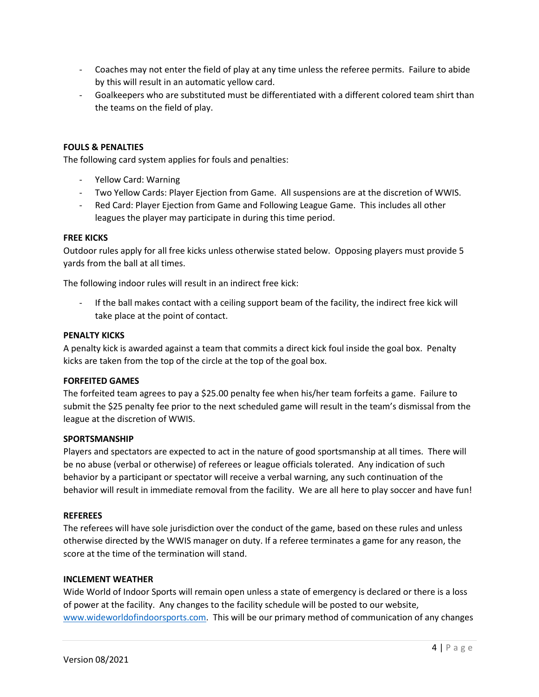- Coaches may not enter the field of play at any time unless the referee permits. Failure to abide by this will result in an automatic yellow card.
- Goalkeepers who are substituted must be differentiated with a different colored team shirt than the teams on the field of play.

# **FOULS & PENALTIES**

The following card system applies for fouls and penalties:

- Yellow Card: Warning
- Two Yellow Cards: Player Ejection from Game. All suspensions are at the discretion of WWIS.
- Red Card: Player Ejection from Game and Following League Game. This includes all other leagues the player may participate in during this time period.

#### **FREE KICKS**

Outdoor rules apply for all free kicks unless otherwise stated below. Opposing players must provide 5 yards from the ball at all times.

The following indoor rules will result in an indirect free kick:

- If the ball makes contact with a ceiling support beam of the facility, the indirect free kick will take place at the point of contact.

#### **PENALTY KICKS**

A penalty kick is awarded against a team that commits a direct kick foul inside the goal box. Penalty kicks are taken from the top of the circle at the top of the goal box.

#### **FORFEITED GAMES**

The forfeited team agrees to pay a \$25.00 penalty fee when his/her team forfeits a game. Failure to submit the \$25 penalty fee prior to the next scheduled game will result in the team's dismissal from the league at the discretion of WWIS.

#### **SPORTSMANSHIP**

Players and spectators are expected to act in the nature of good sportsmanship at all times. There will be no abuse (verbal or otherwise) of referees or league officials tolerated. Any indication of such behavior by a participant or spectator will receive a verbal warning, any such continuation of the behavior will result in immediate removal from the facility. We are all here to play soccer and have fun!

#### **REFEREES**

The referees will have sole jurisdiction over the conduct of the game, based on these rules and unless otherwise directed by the WWIS manager on duty. If a referee terminates a game for any reason, the score at the time of the termination will stand.

#### **INCLEMENT WEATHER**

Wide World of Indoor Sports will remain open unless a state of emergency is declared or there is a loss of power at the facility. Any changes to the facility schedule will be posted to our website, [www.wideworldofindoorsports.com.](http://www.wideworldofindoorsports.com/) This will be our primary method of communication of any changes